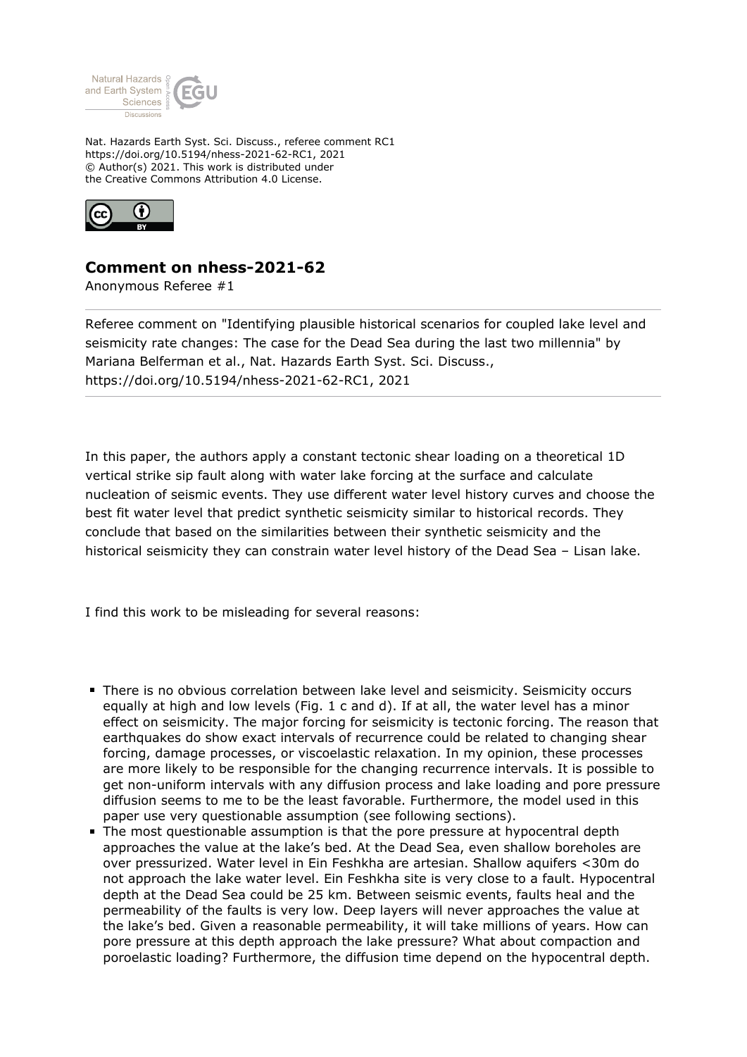

Nat. Hazards Earth Syst. Sci. Discuss., referee comment RC1 https://doi.org/10.5194/nhess-2021-62-RC1, 2021 © Author(s) 2021. This work is distributed under the Creative Commons Attribution 4.0 License.



## **Comment on nhess-2021-62**

Anonymous Referee #1

Referee comment on "Identifying plausible historical scenarios for coupled lake level and seismicity rate changes: The case for the Dead Sea during the last two millennia" by Mariana Belferman et al., Nat. Hazards Earth Syst. Sci. Discuss., https://doi.org/10.5194/nhess-2021-62-RC1, 2021

In this paper, the authors apply a constant tectonic shear loading on a theoretical 1D vertical strike sip fault along with water lake forcing at the surface and calculate nucleation of seismic events. They use different water level history curves and choose the best fit water level that predict synthetic seismicity similar to historical records. They conclude that based on the similarities between their synthetic seismicity and the historical seismicity they can constrain water level history of the Dead Sea – Lisan lake.

I find this work to be misleading for several reasons:

- There is no obvious correlation between lake level and seismicity. Seismicity occurs equally at high and low levels (Fig. 1 c and d). If at all, the water level has a minor effect on seismicity. The major forcing for seismicity is tectonic forcing. The reason that earthquakes do show exact intervals of recurrence could be related to changing shear forcing, damage processes, or viscoelastic relaxation. In my opinion, these processes are more likely to be responsible for the changing recurrence intervals. It is possible to get non-uniform intervals with any diffusion process and lake loading and pore pressure diffusion seems to me to be the least favorable. Furthermore, the model used in this paper use very questionable assumption (see following sections).
- The most questionable assumption is that the pore pressure at hypocentral depth approaches the value at the lake's bed. At the Dead Sea, even shallow boreholes are over pressurized. Water level in Ein Feshkha are artesian. Shallow aquifers <30m do not approach the lake water level. Ein Feshkha site is very close to a fault. Hypocentral depth at the Dead Sea could be 25 km. Between seismic events, faults heal and the permeability of the faults is very low. Deep layers will never approaches the value at the lake's bed. Given a reasonable permeability, it will take millions of years. How can pore pressure at this depth approach the lake pressure? What about compaction and poroelastic loading? Furthermore, the diffusion time depend on the hypocentral depth.